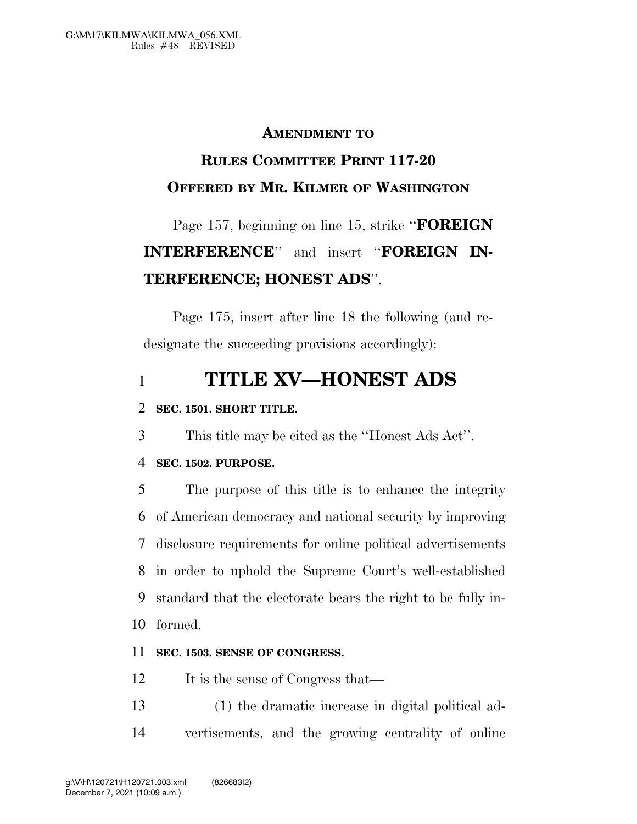#### **AMENDMENT TO**

## **RULES COMMITTEE PRINT 117-20 OFFERED BY MR. KILMER OF WASHINGTON**

# Page 157, beginning on line 15, strike ''**FOREIGN INTERFERENCE**'' and insert ''**FOREIGN IN-TERFERENCE; HONEST ADS**''.

Page 175, insert after line 18 the following (and redesignate the succeeding provisions accordingly):

### 1 **TITLE XV—HONEST ADS**

#### 2 **SEC. 1501. SHORT TITLE.**

3 This title may be cited as the ''Honest Ads Act''.

#### 4 **SEC. 1502. PURPOSE.**

 The purpose of this title is to enhance the integrity of American democracy and national security by improving disclosure requirements for online political advertisements in order to uphold the Supreme Court's well-established standard that the electorate bears the right to be fully in-10 formed.

#### 11 **SEC. 1503. SENSE OF CONGRESS.**

12 It is the sense of Congress that—

13 (1) the dramatic increase in digital political ad-14 vertisements, and the growing centrality of online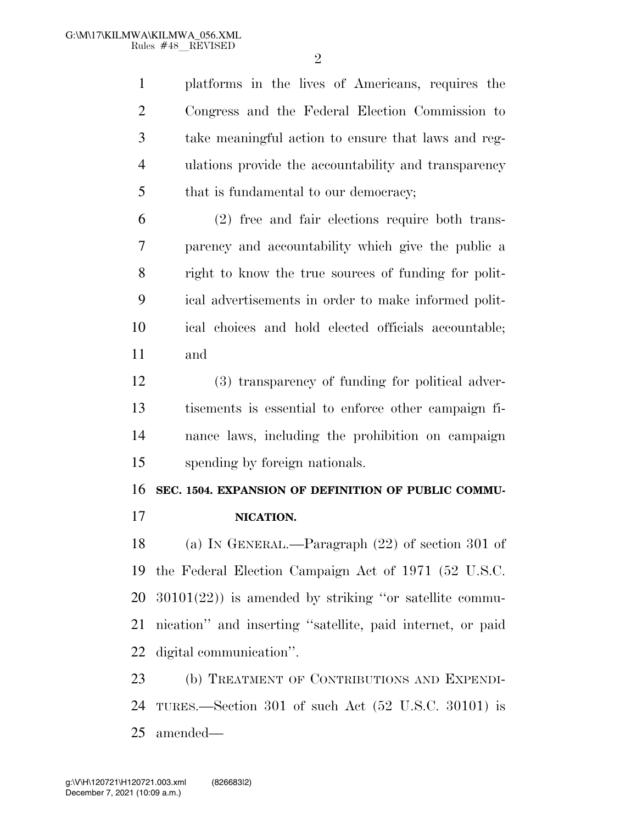$\mathfrak{D}$ 

 platforms in the lives of Americans, requires the Congress and the Federal Election Commission to take meaningful action to ensure that laws and reg- ulations provide the accountability and transparency 5 that is fundamental to our democracy;

 (2) free and fair elections require both trans- parency and accountability which give the public a right to know the true sources of funding for polit- ical advertisements in order to make informed polit- ical choices and hold elected officials accountable; and

 (3) transparency of funding for political adver- tisements is essential to enforce other campaign fi- nance laws, including the prohibition on campaign spending by foreign nationals.

#### **SEC. 1504. EXPANSION OF DEFINITION OF PUBLIC COMMU-**

**NICATION.** 

 (a) IN GENERAL.—Paragraph (22) of section 301 of the Federal Election Campaign Act of 1971 (52 U.S.C. 30101(22)) is amended by striking ''or satellite commu- nication'' and inserting ''satellite, paid internet, or paid digital communication''.

 (b) TREATMENT OF CONTRIBUTIONS AND EXPENDI- TURES.—Section 301 of such Act (52 U.S.C. 30101) is amended—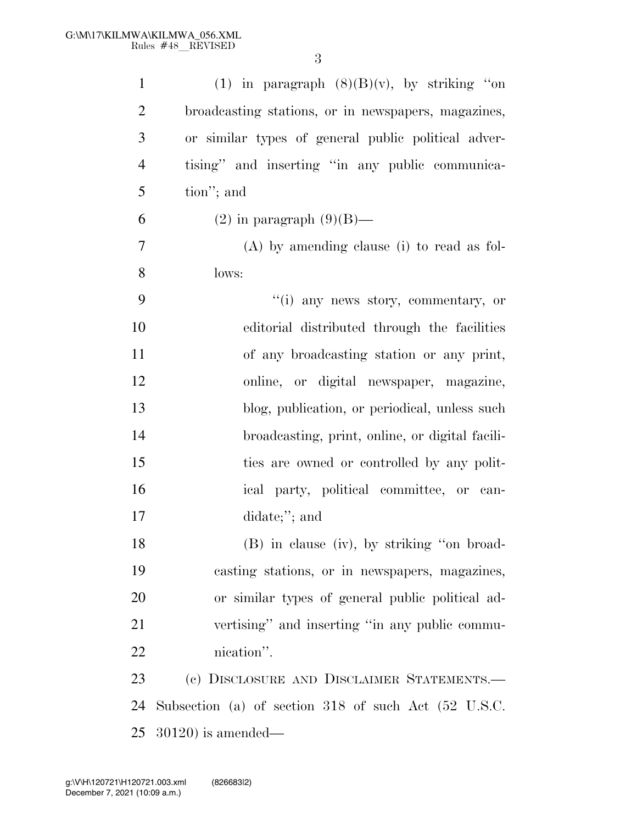| $\mathbf{1}$   | (1) in paragraph $(8)(B)(v)$ , by striking "on       |
|----------------|------------------------------------------------------|
| $\overline{2}$ | broadcasting stations, or in newspapers, magazines,  |
| 3              | or similar types of general public political adver-  |
| $\overline{4}$ | tising" and inserting "in any public communica-      |
| 5              | tion"; and                                           |
| 6              | $(2)$ in paragraph $(9)(B)$ —                        |
| 7              | $(A)$ by amending clause (i) to read as fol-         |
| 8              | lows:                                                |
| 9              | "(i) any news story, commentary, or                  |
| 10             | editorial distributed through the facilities         |
| 11             | of any broadcasting station or any print,            |
| 12             | online, or digital newspaper, magazine,              |
| 13             | blog, publication, or periodical, unless such        |
| 14             | broadcasting, print, online, or digital facili-      |
| 15             | ties are owned or controlled by any polit-           |
| 16             | ical party, political committee, or can-             |
| 17             | didate;"; and                                        |
| 18             | (B) in clause (iv), by striking "on broad-           |
| 19             | casting stations, or in newspapers, magazines,       |
| 20             | or similar types of general public political ad-     |
| 21             | vertising" and inserting "in any public commu-       |
| 22             | nication".                                           |
| 23             | (c) DISCLOSURE AND DISCLAIMER STATEMENTS.-           |
| 24             | Subsection (a) of section 318 of such Act (52 U.S.C. |
| 25             | $(30120)$ is amended—                                |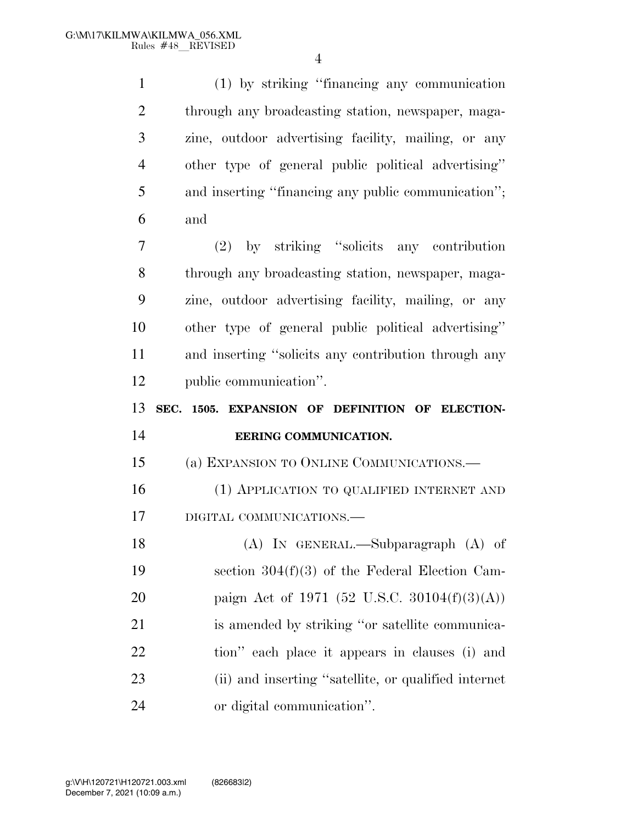| $\mathbf{1}$   | (1) by striking "financing any communication         |
|----------------|------------------------------------------------------|
| $\overline{2}$ | through any broadcasting station, newspaper, maga-   |
| 3              | zine, outdoor advertising facility, mailing, or any  |
| $\overline{4}$ | other type of general public political advertising"  |
| 5              | and inserting "financing any public communication";  |
| 6              | and                                                  |
| 7              | (2) by striking "solicits any contribution           |
| 8              | through any broadcasting station, newspaper, maga-   |
| 9              | zine, outdoor advertising facility, mailing, or any  |
| 10             | other type of general public political advertising"  |
| 11             | and inserting "solicits any contribution through any |
| 12             | public communication".                               |
|                |                                                      |
|                | SEC. 1505. EXPANSION OF DEFINITION OF ELECTION-      |
| 13<br>14       | EERING COMMUNICATION.                                |
| 15             | (a) EXPANSION TO ONLINE COMMUNICATIONS.              |
| 16             | (1) APPLICATION TO QUALIFIED INTERNET AND            |
| 17             | DIGITAL COMMUNICATIONS.-                             |
| 18             | (A) IN GENERAL.—Subparagraph (A) of                  |
| 19             | section $304(f)(3)$ of the Federal Election Cam-     |
| 20             | paign Act of 1971 (52 U.S.C. 30104 $(f)(3)(A)$ )     |
| 21             | is amended by striking "or satellite communica-      |
| 22             | tion" each place it appears in clauses (i) and       |
| 23             | (ii) and inserting "satellite, or qualified internet |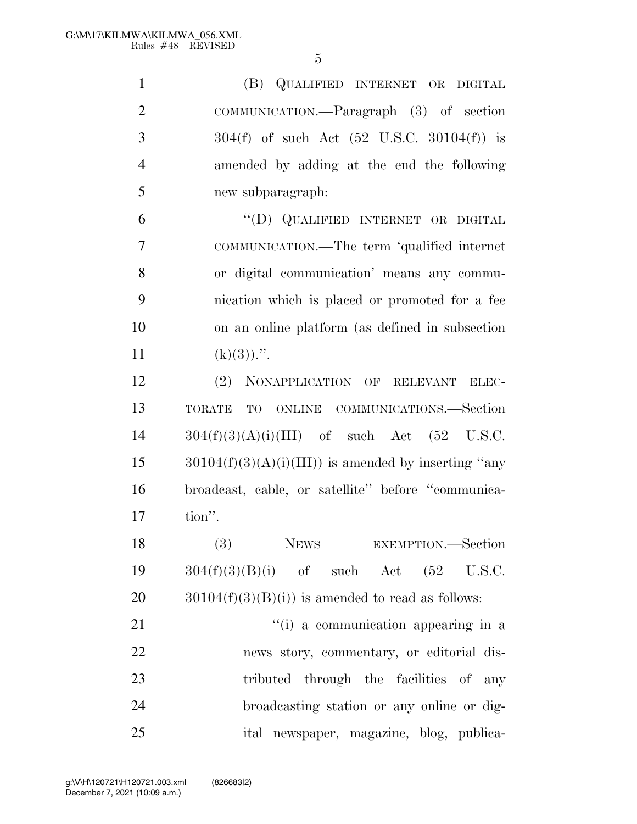| $\mathbf{1}$   | (B) QUALIFIED INTERNET OR DIGITAL                        |
|----------------|----------------------------------------------------------|
| $\overline{2}$ | COMMUNICATION.—Paragraph (3) of section                  |
| 3              | $304(f)$ of such Act $(52 \text{ U.S.C. } 30104(f))$ is  |
| $\overline{4}$ | amended by adding at the end the following               |
| 5              | new subparagraph:                                        |
| 6              | "(D) QUALIFIED INTERNET OR DIGITAL                       |
| 7              | COMMUNICATION.—The term 'qualified internet              |
| 8              | or digital communication' means any commu-               |
| 9              | nication which is placed or promoted for a fee           |
| 10             | on an online platform (as defined in subsection          |
| 11             | $(k)(3))$ .".                                            |
| 12             | (2) NONAPPLICATION OF RELEVANT<br>ELEC-                  |
| 13             | TO ONLINE COMMUNICATIONS.-Section<br><b>TORATE</b>       |
| 14             | $304(f)(3)(A)(i)(III)$ of such Act $(52 \text{ U.S.C.})$ |
| 15             | $30104(f)(3)(A)(i)(III))$ is amended by inserting "any   |
| 16             | broadcast, cable, or satellite" before "communica-       |
| 17             | tion".                                                   |
| 18             | (3) NEWS EXEMPTION.—Section                              |
| 19             | $304(f)(3)(B)(i)$ of such Act $(52 \text{ U.S.C.})$      |
| 20             | $30104(f)(3)(B(i))$ is amended to read as follows:       |
| 21             | "(i) a communication appearing in a                      |
| 22             | news story, commentary, or editorial dis-                |
| 23             | tributed through the facilities of any                   |
| 24             | broadcasting station or any online or dig-               |
| 25             | ital newspaper, magazine, blog, publica-                 |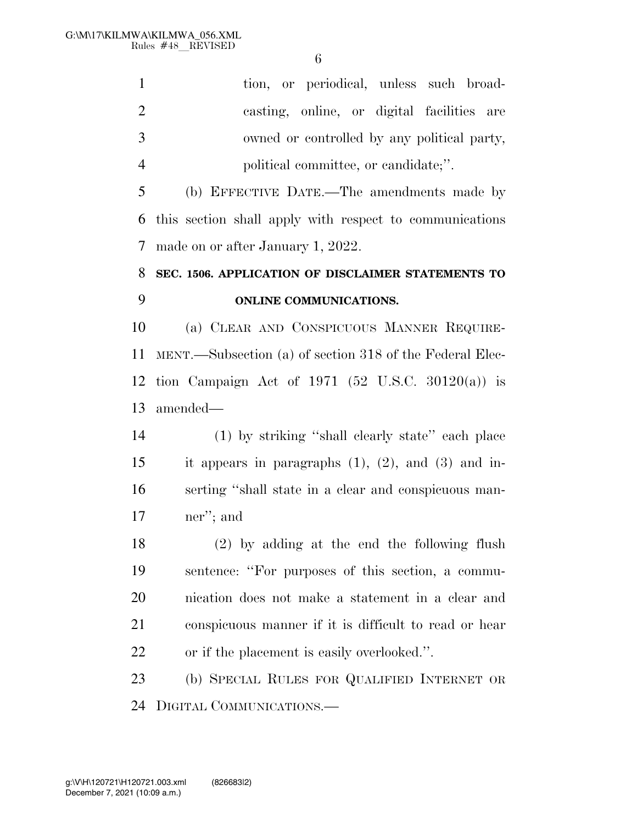| $\mathbf{1}$   | tion, or periodical, unless such broad-                    |
|----------------|------------------------------------------------------------|
| $\overline{2}$ | casting, online, or digital facilities are                 |
| 3              | owned or controlled by any political party,                |
| $\overline{4}$ | political committee, or candidate;".                       |
| 5              | (b) EFFECTIVE DATE.—The amendments made by                 |
| 6              | this section shall apply with respect to communications    |
| 7              | made on or after January 1, 2022.                          |
| 8              | SEC. 1506. APPLICATION OF DISCLAIMER STATEMENTS TO         |
| 9              | <b>ONLINE COMMUNICATIONS.</b>                              |
| 10             | (a) CLEAR AND CONSPICUOUS MANNER REQUIRE-                  |
| 11             | MENT.—Subsection (a) of section 318 of the Federal Elec-   |
| 12             | tion Campaign Act of 1971 (52 U.S.C. 30120(a)) is          |
| 13             | amended—                                                   |
| 14             | (1) by striking "shall clearly state" each place           |
| 15             | it appears in paragraphs $(1)$ , $(2)$ , and $(3)$ and in- |
| 16             | serting "shall state in a clear and conspicuous man-       |
| 17             | ner"; and                                                  |
| 18             | $(2)$ by adding at the end the following flush             |
| 19             | sentence: "For purposes of this section, a commu-          |
| 20             | nication does not make a statement in a clear and          |
| 21             | conspicuous manner if it is difficult to read or hear      |
| 22             | or if the placement is easily overlooked.".                |
| 23             | (b) SPECIAL RULES FOR QUALIFIED INTERNET OR                |
| 24             | DIGITAL COMMUNICATIONS.—                                   |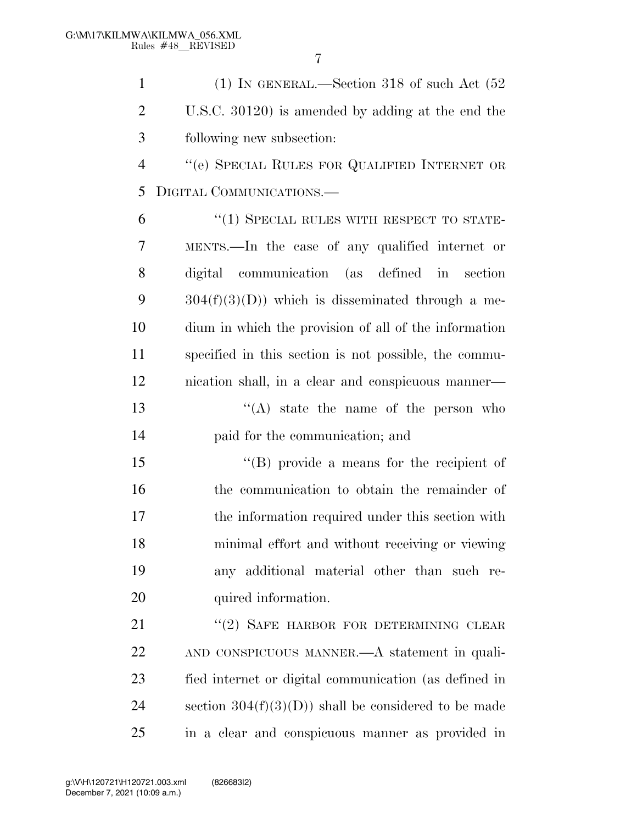| $\mathbf{1}$   | (1) IN GENERAL.—Section 318 of such Act $(52)$        |
|----------------|-------------------------------------------------------|
| $\overline{2}$ | U.S.C. 30120) is amended by adding at the end the     |
| 3              | following new subsection:                             |
| $\overline{4}$ | "(e) SPECIAL RULES FOR QUALIFIED INTERNET OR          |
| 5              | DIGITAL COMMUNICATIONS.                               |
| 6              | $\cdot$ (1) SPECIAL RULES WITH RESPECT TO STATE-      |
| 7              | MENTS.—In the case of any qualified internet or       |
| 8              | digital communication (as defined in section          |
| 9              | $304(f)(3)(D)$ which is disseminated through a me-    |
| 10             | dium in which the provision of all of the information |
| 11             | specified in this section is not possible, the commu- |
| 12             | nication shall, in a clear and conspicuous manner—    |
| 13             | $\lq\lq$ state the name of the person who             |
| 14             | paid for the communication; and                       |
| 15             | "(B) provide a means for the recipient of             |
| 16             | the communication to obtain the remainder of          |
| 17             | the information required under this section with      |
| 18             | minimal effort and without receiving or viewing       |
| 19             | any additional material other than such re-           |
| 20             | quired information.                                   |
| 21             | "(2) SAFE HARBOR FOR DETERMINING CLEAR                |
| 22             | AND CONSPICUOUS MANNER.—A statement in quali-         |
| 23             | fied internet or digital communication (as defined in |
| 24             | section $304(f)(3)(D)$ shall be considered to be made |

in a clear and conspicuous manner as provided in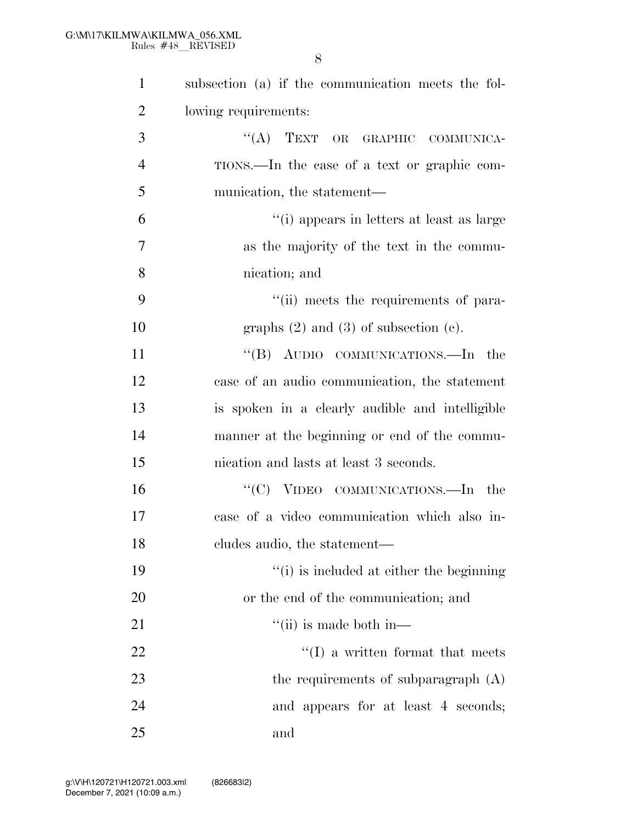| $\mathbf{1}$   | subsection (a) if the communication meets the fol- |
|----------------|----------------------------------------------------|
| $\overline{2}$ | lowing requirements:                               |
| 3              | "(A) TEXT OR GRAPHIC COMMUNICA-                    |
| $\overline{4}$ | TIONS.—In the case of a text or graphic com-       |
| 5              | munication, the statement—                         |
| 6              | "(i) appears in letters at least as large          |
| 7              | as the majority of the text in the commu-          |
| 8              | nication; and                                      |
| 9              | "(ii) meets the requirements of para-              |
| 10             | graphs $(2)$ and $(3)$ of subsection $(e)$ .       |
| 11             | "(B) AUDIO COMMUNICATIONS.—In the                  |
| 12             | case of an audio communication, the statement      |
| 13             | is spoken in a clearly audible and intelligible    |
| 14             | manner at the beginning or end of the commu-       |
| 15             | nication and lasts at least 3 seconds.             |
| 16             | "(C) VIDEO COMMUNICATIONS.—In<br>the               |
| 17             | case of a video communication which also in-       |
| 18             | cludes audio, the statement—                       |
| 19             | "(i) is included at either the beginning           |
| 20             | or the end of the communication; and               |
| 21             | $\lq\lq$ (ii) is made both in—                     |
| 22             | $\lq\lq$ (I) a written format that meets           |
| 23             | the requirements of subparagraph (A)               |
| 24             | and appears for at least 4 seconds;                |
| 25             | and                                                |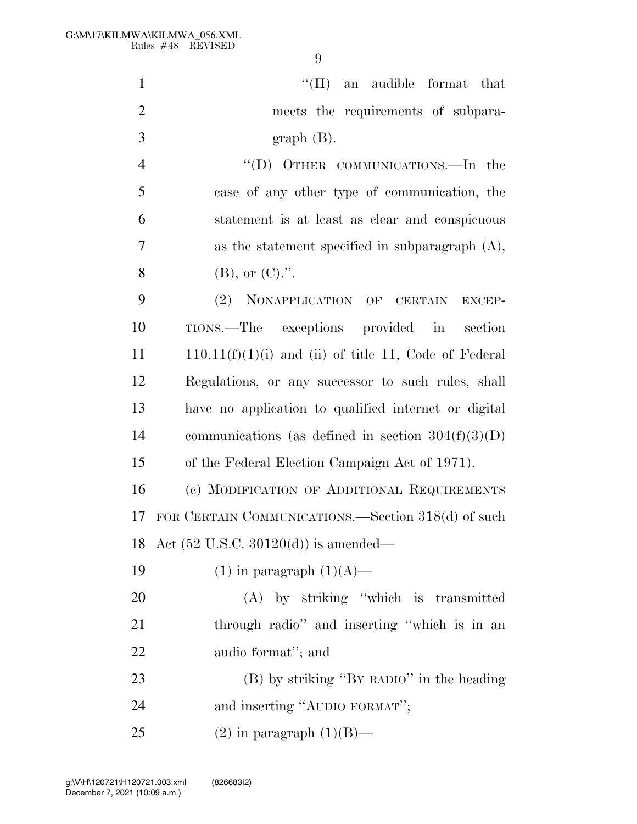| $\mathbf{1}$   | $\lq\lq$ (II) an audible format that                    |
|----------------|---------------------------------------------------------|
| $\overline{2}$ | meets the requirements of subpara-                      |
| 3              | $graph(B)$ .                                            |
| $\overline{4}$ | "(D) OTHER COMMUNICATIONS.—In the                       |
| 5              | case of any other type of communication, the            |
| 6              | statement is at least as clear and conspicuous          |
| 7              | as the statement specified in subparagraph $(A)$ ,      |
| 8              | $(B)$ , or $(C)$ .".                                    |
| 9              | (2) NONAPPLICATION OF CERTAIN EXCEP-                    |
| 10             | TIONS.—The exceptions provided in section               |
| 11             | $110.11(f)(1)(i)$ and (ii) of title 11, Code of Federal |
| 12             | Regulations, or any successor to such rules, shall      |
| 13             | have no application to qualified internet or digital    |
| 14             | communications (as defined in section $304(f)(3)(D)$    |
| 15             | of the Federal Election Campaign Act of 1971).          |
| 16             | (c) MODIFICATION OF ADDITIONAL REQUIREMENTS             |
| 17             | FOR CERTAIN COMMUNICATIONS.—Section 318(d) of such      |
|                | 18 Act $(52 \text{ U.S.C. } 30120(d))$ is amended—      |
| 19             | $(1)$ in paragraph $(1)(A)$ —                           |
| <b>20</b>      | $(A)$ by striking "which is transmitted                 |
| 21             | through radio" and inserting "which is in an            |
| <u>22</u>      | audio format"; and                                      |
| 23             | (B) by striking "BY RADIO" in the heading               |
| 24             | and inserting "AUDIO FORMAT";                           |
| 25             | $(2)$ in paragraph $(1)(B)$ —                           |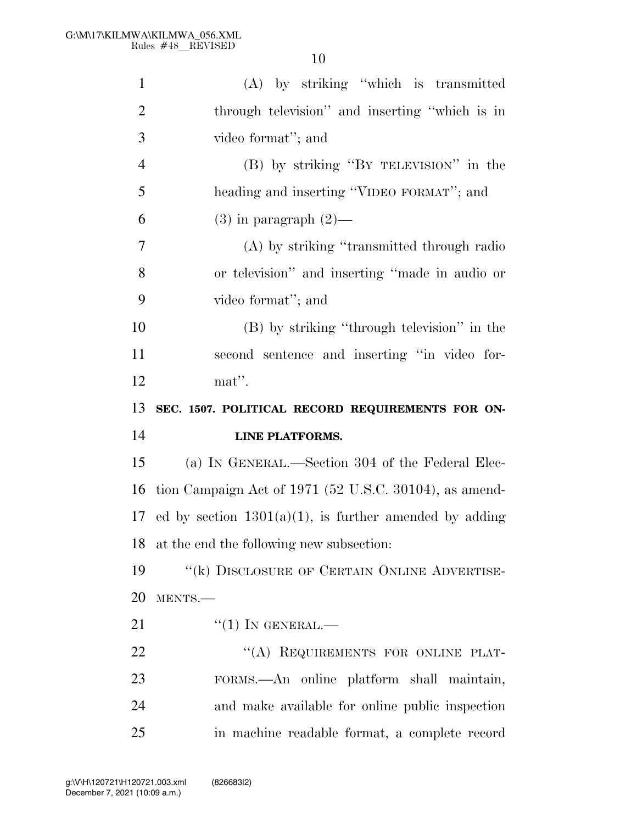| $\mathbf{1}$         | (A) by striking "which is transmitted                     |
|----------------------|-----------------------------------------------------------|
| $\overline{2}$       | through television" and inserting "which is in            |
| 3                    | video format"; and                                        |
| $\overline{4}$       | (B) by striking "BY TELEVISION" in the                    |
| 5                    | heading and inserting "VIDEO FORMAT"; and                 |
| 6                    | $(3)$ in paragraph $(2)$ —                                |
| 7                    | (A) by striking "transmitted through radio                |
| 8                    | or television" and inserting "made in audio or            |
| 9                    | video format"; and                                        |
| 10                   | (B) by striking "through television" in the               |
| 11                   | second sentence and inserting "in video for-              |
| 12                   | mat".                                                     |
|                      |                                                           |
| 13                   | SEC. 1507. POLITICAL RECORD REQUIREMENTS FOR ON-          |
|                      | LINE PLATFORMS.                                           |
|                      | (a) IN GENERAL.—Section 304 of the Federal Elec-          |
|                      | tion Campaign Act of 1971 (52 U.S.C. 30104), as amend-    |
| 14<br>15<br>16<br>17 | ed by section $1301(a)(1)$ , is further amended by adding |
|                      | at the end the following new subsection:                  |
| 18<br>19             | $``$ (k) DISCLOSURE OF CERTAIN ONLINE ADVERTISE-          |
|                      | MENTS.-                                                   |
| 20<br>21             | $``(1)$ IN GENERAL.—                                      |
| 22                   | "(A) REQUIREMENTS FOR ONLINE PLAT-                        |
| 23                   | FORMS.—An online platform shall maintain,                 |
| 24                   | and make available for online public inspection           |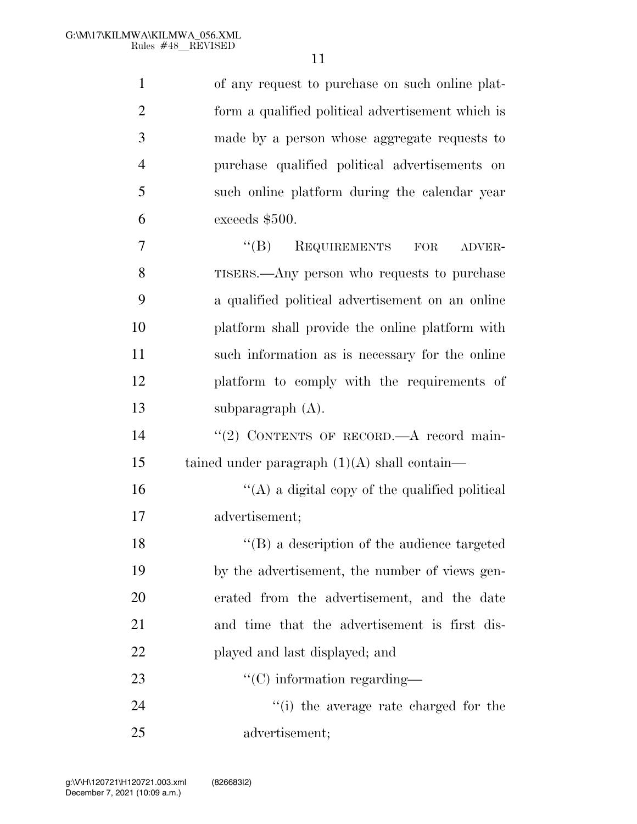| $\mathbf{1}$   | of any request to purchase on such online plat-   |
|----------------|---------------------------------------------------|
| $\overline{2}$ | form a qualified political advertisement which is |
| 3              | made by a person whose aggregate requests to      |
| 4              | purchase qualified political advertisements on    |
| 5              | such online platform during the calendar year     |
| 6              | exceeds \$500.                                    |
| 7              | $\lq\lq (B)$<br>REQUIREMENTS FOR<br>ADVER-        |
| 8              | TISERS.—Any person who requests to purchase       |
| 9              | a qualified political advertisement on an online  |
| 10             | platform shall provide the online platform with   |
| 11             | such information as is necessary for the online   |
| 12             | platform to comply with the requirements of       |
| 13             | subparagraph $(A)$ .                              |
| 14             | "(2) CONTENTS OF RECORD.—A record main-           |
| 15             | tained under paragraph $(1)(A)$ shall contain—    |
| 16             | "(A) a digital copy of the qualified political    |
| 17             | advertisement;                                    |
| 18             | $\lq\lq$ a description of the audience targeted   |
| 19             | by the advertisement, the number of views gen-    |
| 20             | erated from the advertisement, and the date       |
| 21             | and time that the advertisement is first dis-     |
| 22             | played and last displayed; and                    |
| 23             | $\lq\lq$ (C) information regarding—               |
| 24             | "(i) the average rate charged for the             |
| 25             | advertisement;                                    |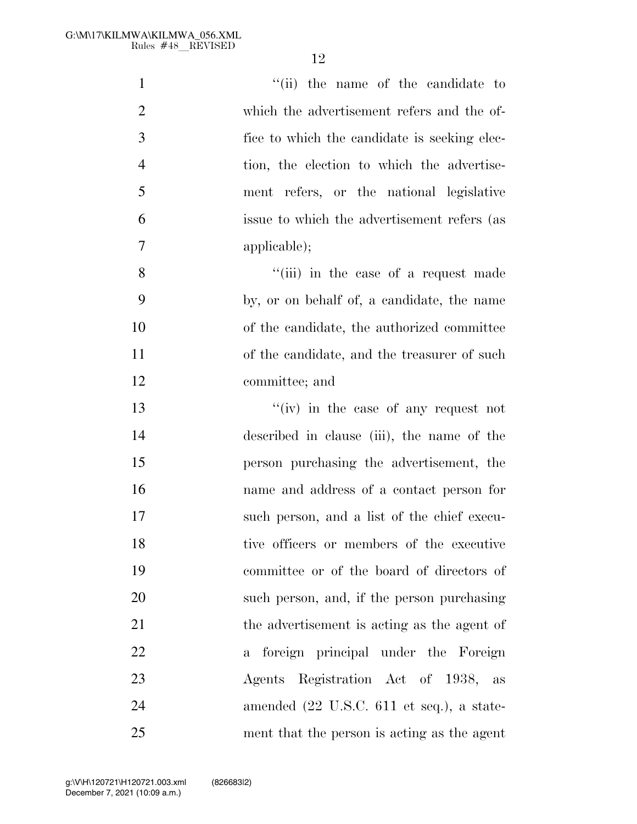| $\mathbf{1}$   | "(ii) the name of the candidate to           |
|----------------|----------------------------------------------|
| $\overline{2}$ | which the advertisement refers and the of-   |
| 3              | fice to which the candidate is seeking elec- |
| $\overline{4}$ | tion, the election to which the advertise-   |
| 5              | ment refers, or the national legislative     |
| 6              | issue to which the advertisement refers (as  |
| 7              | applicable);                                 |
| 8              | "(iii) in the case of a request made         |
| 9              | by, or on behalf of, a candidate, the name   |
| 10             | of the candidate, the authorized committee   |
| 11             | of the candidate, and the treasurer of such  |
| 12             | committee; and                               |
| 13             | "(iv) in the case of any request not         |
| 14             | described in clause (iii), the name of the   |
| 15             | person purchasing the advertisement, the     |
| 16             | name and address of a contact person for     |
| 17             | such person, and a list of the chief execu-  |
| 18             | tive officers or members of the executive    |
| 19             | committee or of the board of directors of    |
| 20             | such person, and, if the person purchasing   |
| 21             | the advertisement is acting as the agent of  |
| 22             | a foreign principal under the Foreign        |
| 23             | Agents Registration Act of 1938, as          |
| 24             | amended (22 U.S.C. 611 et seq.), a state-    |
| 25             | ment that the person is acting as the agent  |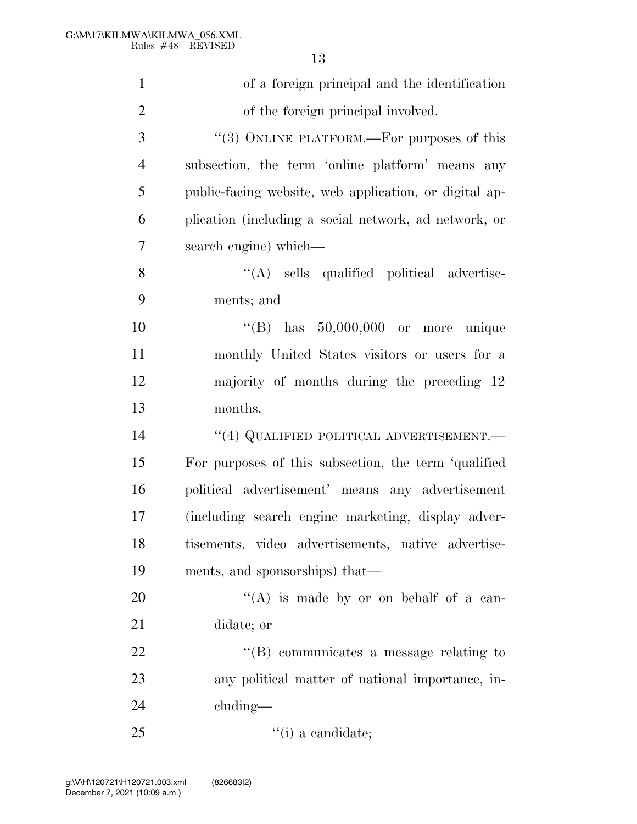of a foreign principal and the identification of the foreign principal involved. 3 "(3) ONLINE PLATFORM.—For purposes of this subsection, the term 'online platform' means any public-facing website, web application, or digital ap- plication (including a social network, ad network, or search engine) which— 8 ''(A) sells qualified political advertise- ments; and ''(B) has 50,000,000 or more unique monthly United States visitors or users for a majority of months during the preceding 12 months. **''(4) QUALIFIED POLITICAL ADVERTISEMENT.**  For purposes of this subsection, the term 'qualified political advertisement' means any advertisement (including search engine marketing, display adver- tisements, video advertisements, native advertise- ments, and sponsorships) that—  $((A)$  is made by or on behalf of a can- didate; or  $\text{``(B) communicates a message relating to}$ any political matter of national importance, in-

cluding—

25  $\qquad$  ''(i) a candidate;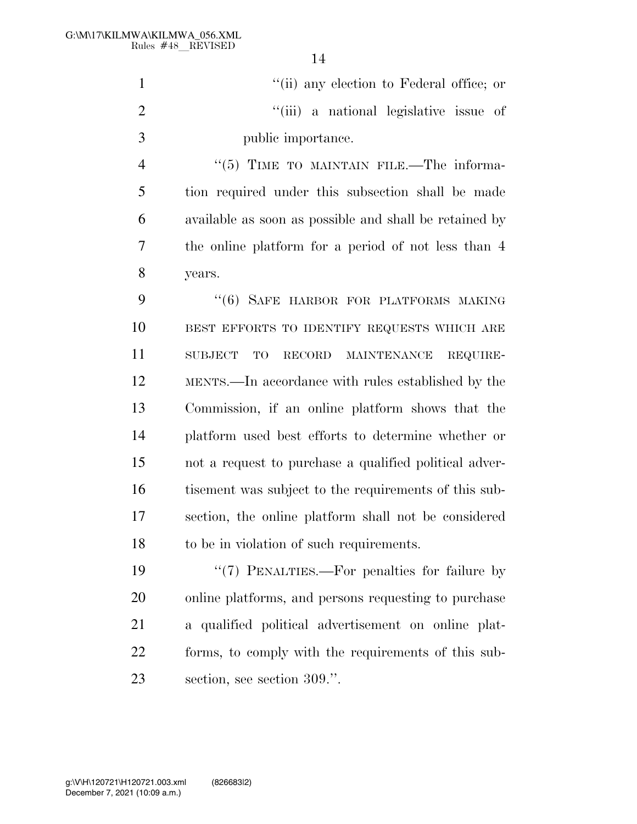''(ii) any election to Federal office; or 2  $\frac{1}{1}$  (iii) a national legislative issue of public importance.

4 "(5) TIME TO MAINTAIN FILE.—The informa- tion required under this subsection shall be made available as soon as possible and shall be retained by the online platform for a period of not less than 4 years.

9 "(6) SAFE HARBOR FOR PLATFORMS MAKING BEST EFFORTS TO IDENTIFY REQUESTS WHICH ARE SUBJECT TO RECORD MAINTENANCE REQUIRE- MENTS.—In accordance with rules established by the Commission, if an online platform shows that the platform used best efforts to determine whether or not a request to purchase a qualified political adver-16 tisement was subject to the requirements of this sub- section, the online platform shall not be considered to be in violation of such requirements.

19 "'(7) PENALTIES.—For penalties for failure by online platforms, and persons requesting to purchase a qualified political advertisement on online plat- forms, to comply with the requirements of this sub-section, see section 309.''.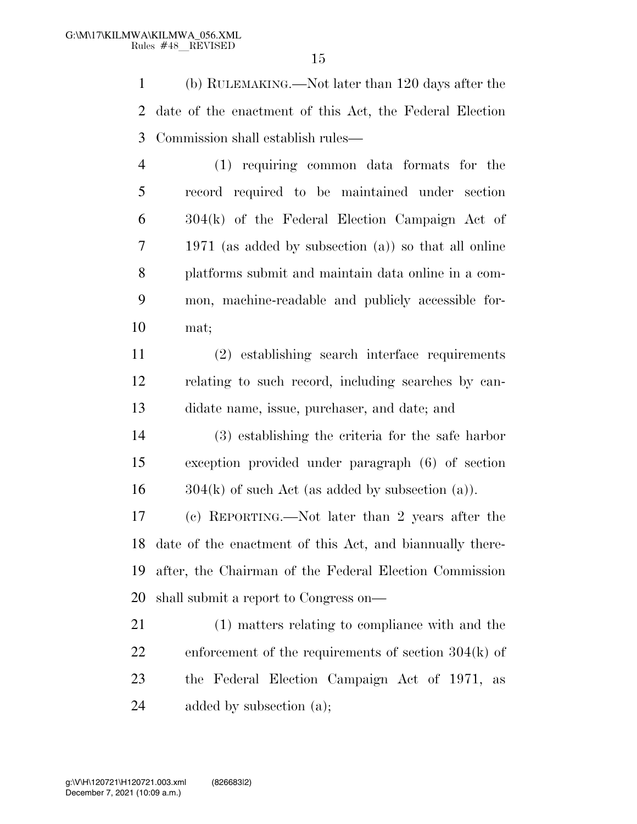(b) RULEMAKING.—Not later than 120 days after the date of the enactment of this Act, the Federal Election Commission shall establish rules—

 (1) requiring common data formats for the record required to be maintained under section 304(k) of the Federal Election Campaign Act of 1971 (as added by subsection (a)) so that all online platforms submit and maintain data online in a com- mon, machine-readable and publicly accessible for-mat;

 (2) establishing search interface requirements relating to such record, including searches by can-didate name, issue, purchaser, and date; and

 (3) establishing the criteria for the safe harbor exception provided under paragraph (6) of section  $16 \qquad 304(k)$  of such Act (as added by subsection (a)).

 (c) REPORTING.—Not later than 2 years after the date of the enactment of this Act, and biannually there- after, the Chairman of the Federal Election Commission shall submit a report to Congress on—

 (1) matters relating to compliance with and the enforcement of the requirements of section 304(k) of the Federal Election Campaign Act of 1971, as added by subsection (a);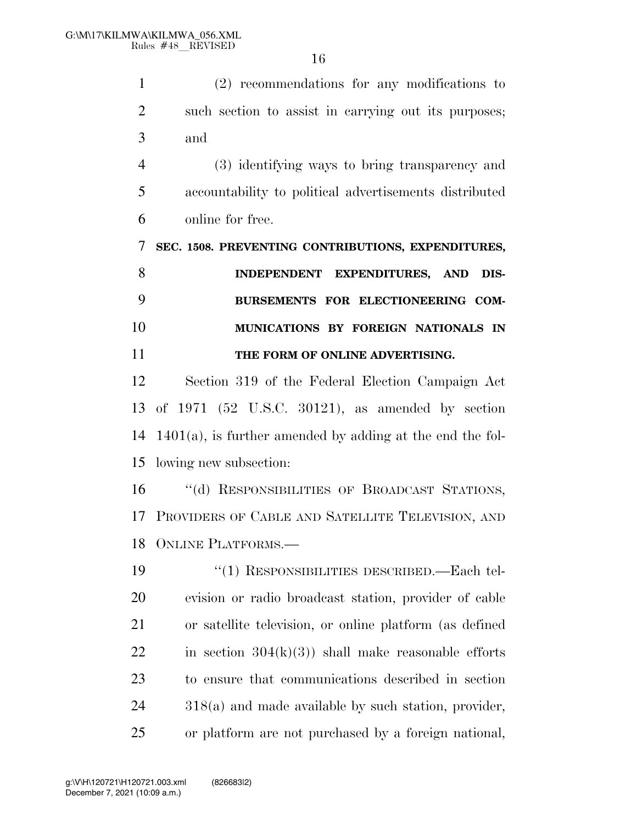(2) recommendations for any modifications to such section to assist in carrying out its purposes; and

 (3) identifying ways to bring transparency and accountability to political advertisements distributed online for free.

**SEC. 1508. PREVENTING CONTRIBUTIONS, EXPENDITURES,** 

 **INDEPENDENT EXPENDITURES, AND DIS- BURSEMENTS FOR ELECTIONEERING COM- MUNICATIONS BY FOREIGN NATIONALS IN THE FORM OF ONLINE ADVERTISING.** 

 Section 319 of the Federal Election Campaign Act of 1971 (52 U.S.C. 30121), as amended by section 1401(a), is further amended by adding at the end the fol-lowing new subsection:

 ''(d) RESPONSIBILITIES OF BROADCAST STATIONS, PROVIDERS OF CABLE AND SATELLITE TELEVISION, AND ONLINE PLATFORMS.—

 ''(1) RESPONSIBILITIES DESCRIBED.—Each tel- evision or radio broadcast station, provider of cable or satellite television, or online platform (as defined 22 in section  $304(k)(3)$  shall make reasonable efforts to ensure that communications described in section 318(a) and made available by such station, provider, or platform are not purchased by a foreign national,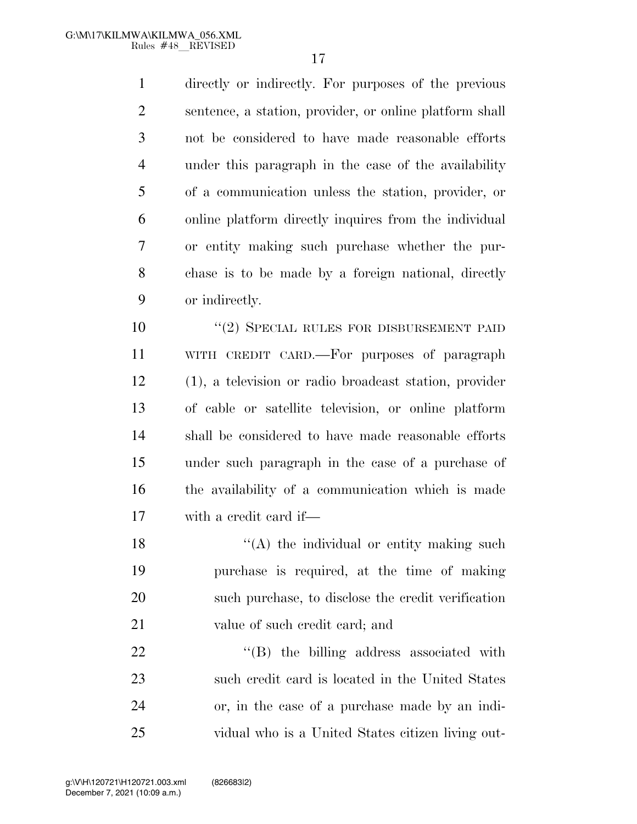directly or indirectly. For purposes of the previous sentence, a station, provider, or online platform shall not be considered to have made reasonable efforts under this paragraph in the case of the availability of a communication unless the station, provider, or online platform directly inquires from the individual or entity making such purchase whether the pur- chase is to be made by a foreign national, directly or indirectly.

10 "(2) SPECIAL RULES FOR DISBURSEMENT PAID WITH CREDIT CARD.—For purposes of paragraph (1), a television or radio broadcast station, provider of cable or satellite television, or online platform shall be considered to have made reasonable efforts under such paragraph in the case of a purchase of the availability of a communication which is made with a credit card if—

 $\langle (A)$  the individual or entity making such purchase is required, at the time of making such purchase, to disclose the credit verification 21 value of such credit card; and

 $\text{``(B)}$  the billing address associated with such credit card is located in the United States or, in the case of a purchase made by an indi-vidual who is a United States citizen living out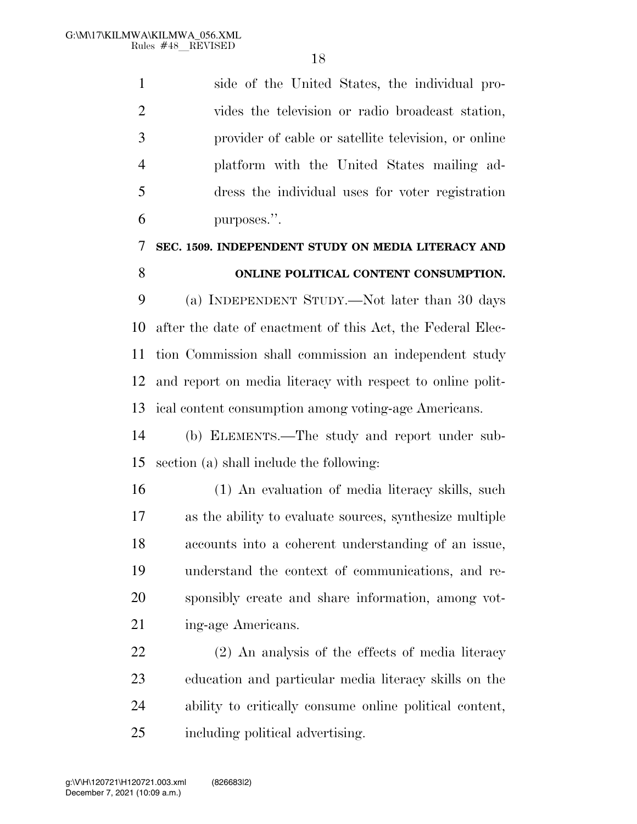side of the United States, the individual pro- vides the television or radio broadcast station, provider of cable or satellite television, or online platform with the United States mailing ad- dress the individual uses for voter registration purposes.''.

# **SEC. 1509. INDEPENDENT STUDY ON MEDIA LITERACY AND**

**ONLINE POLITICAL CONTENT CONSUMPTION.** 

 (a) INDEPENDENT STUDY.—Not later than 30 days after the date of enactment of this Act, the Federal Elec- tion Commission shall commission an independent study and report on media literacy with respect to online polit-ical content consumption among voting-age Americans.

 (b) ELEMENTS.—The study and report under sub-section (a) shall include the following:

 (1) An evaluation of media literacy skills, such as the ability to evaluate sources, synthesize multiple accounts into a coherent understanding of an issue, understand the context of communications, and re- sponsibly create and share information, among vot-21 ing-age Americans.

 (2) An analysis of the effects of media literacy education and particular media literacy skills on the ability to critically consume online political content, including political advertising.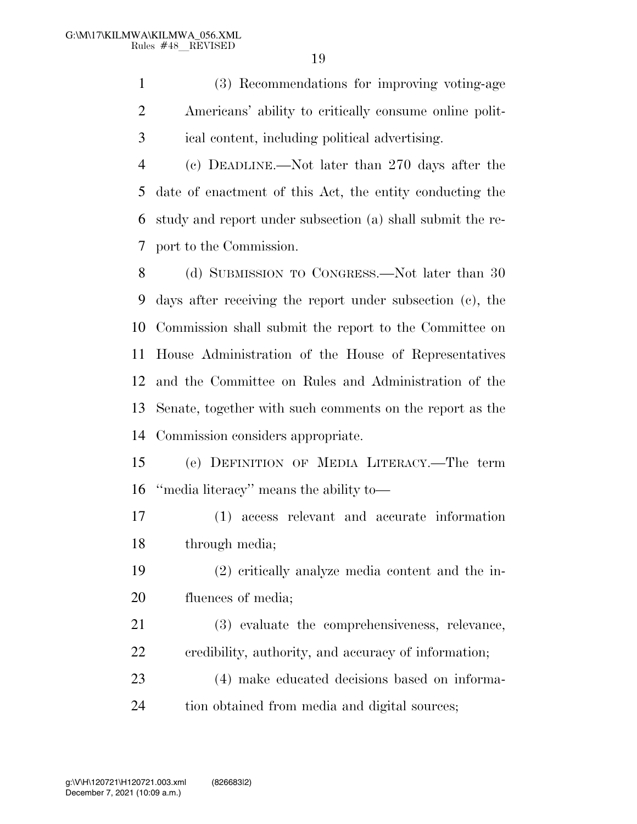(3) Recommendations for improving voting-age Americans' ability to critically consume online polit-ical content, including political advertising.

 (c) DEADLINE.—Not later than 270 days after the date of enactment of this Act, the entity conducting the study and report under subsection (a) shall submit the re-port to the Commission.

8 (d) SUBMISSION TO CONGRESS.—Not later than 30 days after receiving the report under subsection (c), the Commission shall submit the report to the Committee on House Administration of the House of Representatives and the Committee on Rules and Administration of the Senate, together with such comments on the report as the Commission considers appropriate.

 (e) DEFINITION OF MEDIA LITERACY.—The term ''media literacy'' means the ability to—

 (1) access relevant and accurate information through media;

 (2) critically analyze media content and the in-20 fluences of media;

 (3) evaluate the comprehensiveness, relevance, credibility, authority, and accuracy of information;

 (4) make educated decisions based on informa-tion obtained from media and digital sources;